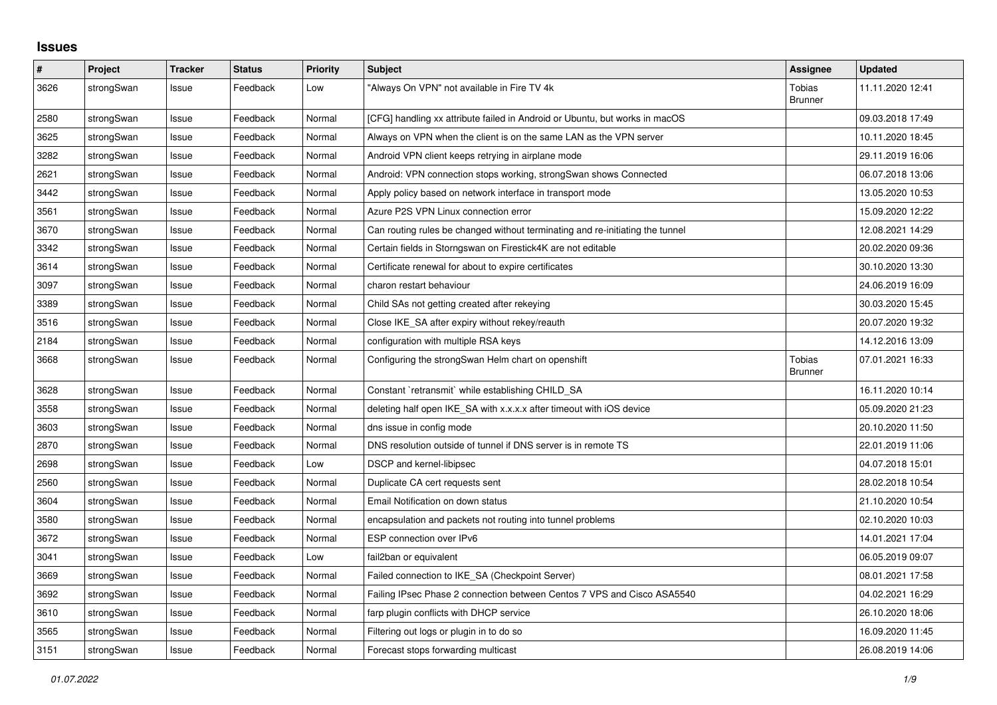## **Issues**

| $\sharp$ | Project    | <b>Tracker</b> | <b>Status</b> | <b>Priority</b> | <b>Subject</b>                                                                | <b>Assignee</b>          | <b>Updated</b>   |
|----------|------------|----------------|---------------|-----------------|-------------------------------------------------------------------------------|--------------------------|------------------|
| 3626     | strongSwan | Issue          | Feedback      | Low             | "Always On VPN" not available in Fire TV 4k                                   | Tobias<br><b>Brunner</b> | 11.11.2020 12:41 |
| 2580     | strongSwan | Issue          | Feedback      | Normal          | [CFG] handling xx attribute failed in Android or Ubuntu, but works in macOS   |                          | 09.03.2018 17:49 |
| 3625     | strongSwan | Issue          | Feedback      | Normal          | Always on VPN when the client is on the same LAN as the VPN server            |                          | 10.11.2020 18:45 |
| 3282     | strongSwan | Issue          | Feedback      | Normal          | Android VPN client keeps retrying in airplane mode                            |                          | 29.11.2019 16:06 |
| 2621     | strongSwan | Issue          | Feedback      | Normal          | Android: VPN connection stops working, strongSwan shows Connected             |                          | 06.07.2018 13:06 |
| 3442     | strongSwan | Issue          | Feedback      | Normal          | Apply policy based on network interface in transport mode                     |                          | 13.05.2020 10:53 |
| 3561     | strongSwan | Issue          | Feedback      | Normal          | Azure P2S VPN Linux connection error                                          |                          | 15.09.2020 12:22 |
| 3670     | strongSwan | Issue          | Feedback      | Normal          | Can routing rules be changed without terminating and re-initiating the tunnel |                          | 12.08.2021 14:29 |
| 3342     | strongSwan | Issue          | Feedback      | Normal          | Certain fields in Storngswan on Firestick4K are not editable                  |                          | 20.02.2020 09:36 |
| 3614     | strongSwan | Issue          | Feedback      | Normal          | Certificate renewal for about to expire certificates                          |                          | 30.10.2020 13:30 |
| 3097     | strongSwan | Issue          | Feedback      | Normal          | charon restart behaviour                                                      |                          | 24.06.2019 16:09 |
| 3389     | strongSwan | Issue          | Feedback      | Normal          | Child SAs not getting created after rekeying                                  |                          | 30.03.2020 15:45 |
| 3516     | strongSwan | Issue          | Feedback      | Normal          | Close IKE_SA after expiry without rekey/reauth                                |                          | 20.07.2020 19:32 |
| 2184     | strongSwan | Issue          | Feedback      | Normal          | configuration with multiple RSA keys                                          |                          | 14.12.2016 13:09 |
| 3668     | strongSwan | Issue          | Feedback      | Normal          | Configuring the strongSwan Helm chart on openshift                            | Tobias<br><b>Brunner</b> | 07.01.2021 16:33 |
| 3628     | strongSwan | Issue          | Feedback      | Normal          | Constant `retransmit` while establishing CHILD_SA                             |                          | 16.11.2020 10:14 |
| 3558     | strongSwan | Issue          | Feedback      | Normal          | deleting half open IKE_SA with x.x.x.x after timeout with iOS device          |                          | 05.09.2020 21:23 |
| 3603     | strongSwan | Issue          | Feedback      | Normal          | dns issue in config mode                                                      |                          | 20.10.2020 11:50 |
| 2870     | strongSwan | Issue          | Feedback      | Normal          | DNS resolution outside of tunnel if DNS server is in remote TS                |                          | 22.01.2019 11:06 |
| 2698     | strongSwan | Issue          | Feedback      | Low             | DSCP and kernel-libipsec                                                      |                          | 04.07.2018 15:01 |
| 2560     | strongSwan | Issue          | Feedback      | Normal          | Duplicate CA cert requests sent                                               |                          | 28.02.2018 10:54 |
| 3604     | strongSwan | Issue          | Feedback      | Normal          | Email Notification on down status                                             |                          | 21.10.2020 10:54 |
| 3580     | strongSwan | Issue          | Feedback      | Normal          | encapsulation and packets not routing into tunnel problems                    |                          | 02.10.2020 10:03 |
| 3672     | strongSwan | Issue          | Feedback      | Normal          | ESP connection over IPv6                                                      |                          | 14.01.2021 17:04 |
| 3041     | strongSwan | Issue          | Feedback      | Low             | fail2ban or equivalent                                                        |                          | 06.05.2019 09:07 |
| 3669     | strongSwan | Issue          | Feedback      | Normal          | Failed connection to IKE_SA (Checkpoint Server)                               |                          | 08.01.2021 17:58 |
| 3692     | strongSwan | Issue          | Feedback      | Normal          | Failing IPsec Phase 2 connection between Centos 7 VPS and Cisco ASA5540       |                          | 04.02.2021 16:29 |
| 3610     | strongSwan | Issue          | Feedback      | Normal          | farp plugin conflicts with DHCP service                                       |                          | 26.10.2020 18:06 |
| 3565     | strongSwan | Issue          | Feedback      | Normal          | Filtering out logs or plugin in to do so                                      |                          | 16.09.2020 11:45 |
| 3151     | strongSwan | Issue          | Feedback      | Normal          | Forecast stops forwarding multicast                                           |                          | 26.08.2019 14:06 |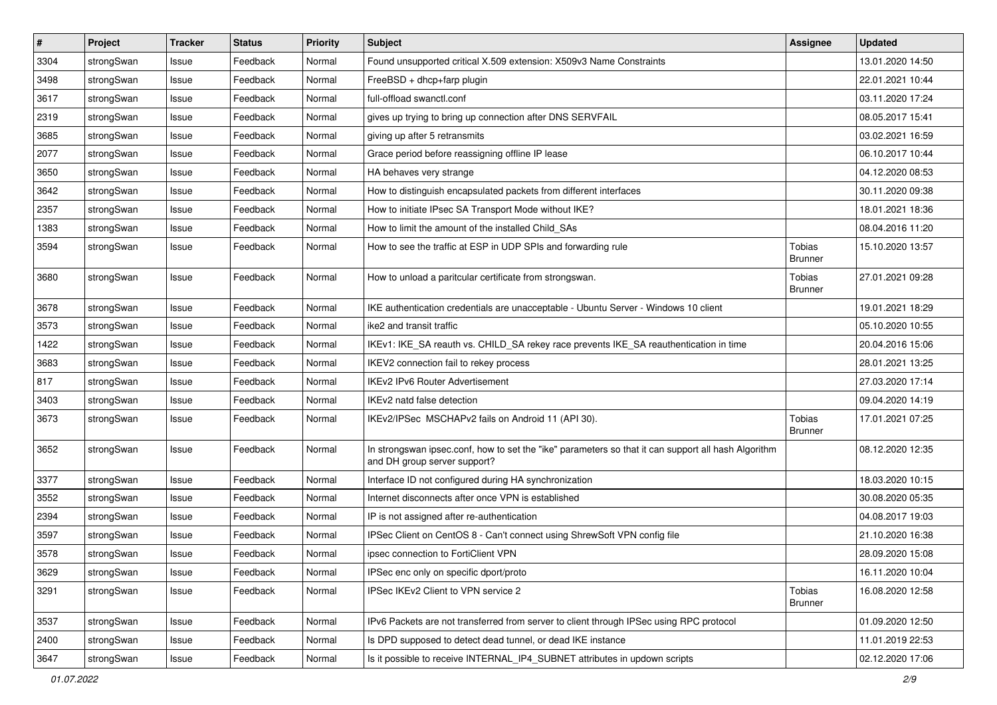| $\sharp$ | Project    | <b>Tracker</b> | <b>Status</b> | <b>Priority</b> | <b>Subject</b>                                                                                                                      | Assignee                 | <b>Updated</b>   |
|----------|------------|----------------|---------------|-----------------|-------------------------------------------------------------------------------------------------------------------------------------|--------------------------|------------------|
| 3304     | strongSwan | Issue          | Feedback      | Normal          | Found unsupported critical X.509 extension: X509v3 Name Constraints                                                                 |                          | 13.01.2020 14:50 |
| 3498     | strongSwan | Issue          | Feedback      | Normal          | FreeBSD + dhcp+farp plugin                                                                                                          |                          | 22.01.2021 10:44 |
| 3617     | strongSwan | Issue          | Feedback      | Normal          | full-offload swanctl.conf                                                                                                           |                          | 03.11.2020 17:24 |
| 2319     | strongSwan | Issue          | Feedback      | Normal          | gives up trying to bring up connection after DNS SERVFAIL                                                                           |                          | 08.05.2017 15:41 |
| 3685     | strongSwan | Issue          | Feedback      | Normal          | giving up after 5 retransmits                                                                                                       |                          | 03.02.2021 16:59 |
| 2077     | strongSwan | Issue          | Feedback      | Normal          | Grace period before reassigning offline IP lease                                                                                    |                          | 06.10.2017 10:44 |
| 3650     | strongSwan | Issue          | Feedback      | Normal          | HA behaves very strange                                                                                                             |                          | 04.12.2020 08:53 |
| 3642     | strongSwan | Issue          | Feedback      | Normal          | How to distinguish encapsulated packets from different interfaces                                                                   |                          | 30.11.2020 09:38 |
| 2357     | strongSwan | Issue          | Feedback      | Normal          | How to initiate IPsec SA Transport Mode without IKE?                                                                                |                          | 18.01.2021 18:36 |
| 1383     | strongSwan | Issue          | Feedback      | Normal          | How to limit the amount of the installed Child_SAs                                                                                  |                          | 08.04.2016 11:20 |
| 3594     | strongSwan | Issue          | Feedback      | Normal          | How to see the traffic at ESP in UDP SPIs and forwarding rule                                                                       | Tobias<br><b>Brunner</b> | 15.10.2020 13:57 |
| 3680     | strongSwan | Issue          | Feedback      | Normal          | How to unload a paritcular certificate from strongswan.                                                                             | Tobias<br><b>Brunner</b> | 27.01.2021 09:28 |
| 3678     | strongSwan | Issue          | Feedback      | Normal          | IKE authentication credentials are unacceptable - Ubuntu Server - Windows 10 client                                                 |                          | 19.01.2021 18:29 |
| 3573     | strongSwan | Issue          | Feedback      | Normal          | ike2 and transit traffic                                                                                                            |                          | 05.10.2020 10:55 |
| 1422     | strongSwan | Issue          | Feedback      | Normal          | IKEv1: IKE_SA reauth vs. CHILD_SA rekey race prevents IKE_SA reauthentication in time                                               |                          | 20.04.2016 15:06 |
| 3683     | strongSwan | Issue          | Feedback      | Normal          | IKEV2 connection fail to rekey process                                                                                              |                          | 28.01.2021 13:25 |
| 817      | strongSwan | Issue          | Feedback      | Normal          | <b>IKEv2 IPv6 Router Advertisement</b>                                                                                              |                          | 27.03.2020 17:14 |
| 3403     | strongSwan | Issue          | Feedback      | Normal          | IKEv2 natd false detection                                                                                                          |                          | 09.04.2020 14:19 |
| 3673     | strongSwan | Issue          | Feedback      | Normal          | IKEv2/IPSec MSCHAPv2 fails on Android 11 (API 30).                                                                                  | Tobias<br><b>Brunner</b> | 17.01.2021 07:25 |
| 3652     | strongSwan | Issue          | Feedback      | Normal          | In strongswan ipsec.conf, how to set the "ike" parameters so that it can support all hash Algorithm<br>and DH group server support? |                          | 08.12.2020 12:35 |
| 3377     | strongSwan | Issue          | Feedback      | Normal          | Interface ID not configured during HA synchronization                                                                               |                          | 18.03.2020 10:15 |
| 3552     | strongSwan | Issue          | Feedback      | Normal          | Internet disconnects after once VPN is established                                                                                  |                          | 30.08.2020 05:35 |
| 2394     | strongSwan | Issue          | Feedback      | Normal          | IP is not assigned after re-authentication                                                                                          |                          | 04.08.2017 19:03 |
| 3597     | strongSwan | Issue          | Feedback      | Normal          | IPSec Client on CentOS 8 - Can't connect using ShrewSoft VPN config file                                                            |                          | 21.10.2020 16:38 |
| 3578     | strongSwan | Issue          | Feedback      | Normal          | ipsec connection to FortiClient VPN                                                                                                 |                          | 28.09.2020 15:08 |
| 3629     | strongSwan | Issue          | Feedback      | Normal          | IPSec enc only on specific dport/proto                                                                                              |                          | 16.11.2020 10:04 |
| 3291     | strongSwan | Issue          | Feedback      | Normal          | IPSec IKEv2 Client to VPN service 2                                                                                                 | <b>Tobias</b><br>Brunner | 16.08.2020 12:58 |
| 3537     | strongSwan | Issue          | Feedback      | Normal          | IPv6 Packets are not transferred from server to client through IPSec using RPC protocol                                             |                          | 01.09.2020 12:50 |
| 2400     | strongSwan | Issue          | Feedback      | Normal          | Is DPD supposed to detect dead tunnel, or dead IKE instance                                                                         |                          | 11.01.2019 22:53 |
| 3647     | strongSwan | Issue          | Feedback      | Normal          | Is it possible to receive INTERNAL_IP4_SUBNET attributes in updown scripts                                                          |                          | 02.12.2020 17:06 |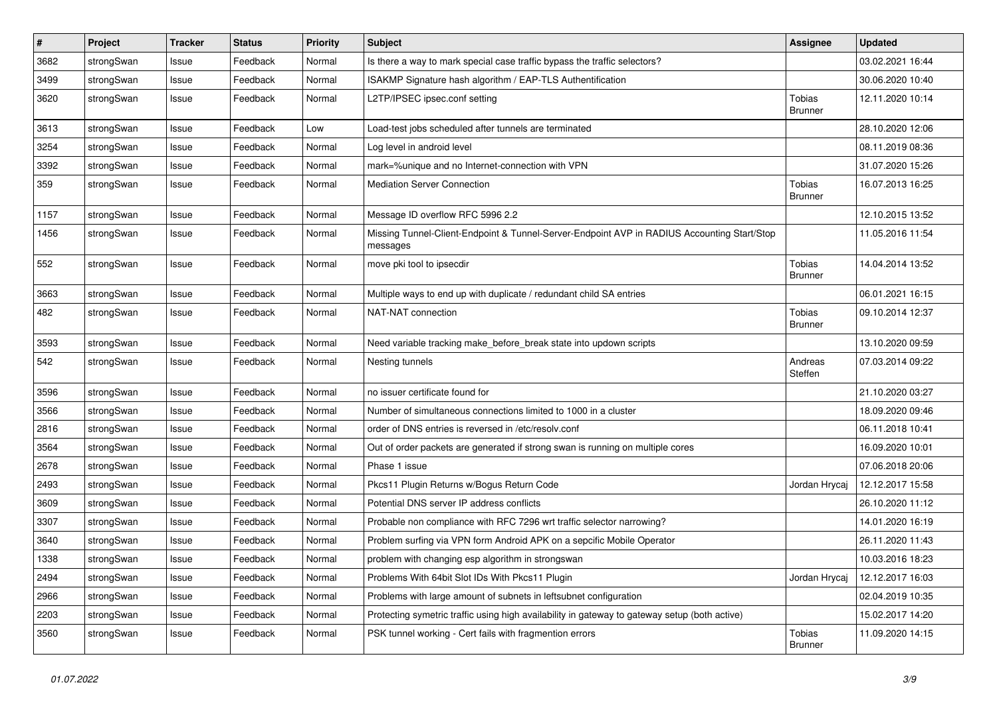| #    | Project    | <b>Tracker</b> | <b>Status</b> | <b>Priority</b> | <b>Subject</b>                                                                                          | <b>Assignee</b>                 | <b>Updated</b>   |
|------|------------|----------------|---------------|-----------------|---------------------------------------------------------------------------------------------------------|---------------------------------|------------------|
| 3682 | strongSwan | Issue          | Feedback      | Normal          | Is there a way to mark special case traffic bypass the traffic selectors?                               |                                 | 03.02.2021 16:44 |
| 3499 | strongSwan | Issue          | Feedback      | Normal          | ISAKMP Signature hash algorithm / EAP-TLS Authentification                                              |                                 | 30.06.2020 10:40 |
| 3620 | strongSwan | Issue          | Feedback      | Normal          | L2TP/IPSEC ipsec.conf setting                                                                           | Tobias<br><b>Brunner</b>        | 12.11.2020 10:14 |
| 3613 | strongSwan | Issue          | Feedback      | Low             | Load-test jobs scheduled after tunnels are terminated                                                   |                                 | 28.10.2020 12:06 |
| 3254 | strongSwan | Issue          | Feedback      | Normal          | Log level in android level                                                                              |                                 | 08.11.2019 08:36 |
| 3392 | strongSwan | Issue          | Feedback      | Normal          | mark=%unique and no Internet-connection with VPN                                                        |                                 | 31.07.2020 15:26 |
| 359  | strongSwan | Issue          | Feedback      | Normal          | <b>Mediation Server Connection</b>                                                                      | Tobias<br><b>Brunner</b>        | 16.07.2013 16:25 |
| 1157 | strongSwan | Issue          | Feedback      | Normal          | Message ID overflow RFC 5996 2.2                                                                        |                                 | 12.10.2015 13:52 |
| 1456 | strongSwan | Issue          | Feedback      | Normal          | Missing Tunnel-Client-Endpoint & Tunnel-Server-Endpoint AVP in RADIUS Accounting Start/Stop<br>messages |                                 | 11.05.2016 11:54 |
| 552  | strongSwan | Issue          | Feedback      | Normal          | move pki tool to ipsecdir                                                                               | Tobias<br><b>Brunner</b>        | 14.04.2014 13:52 |
| 3663 | strongSwan | Issue          | Feedback      | Normal          | Multiple ways to end up with duplicate / redundant child SA entries                                     |                                 | 06.01.2021 16:15 |
| 482  | strongSwan | Issue          | Feedback      | Normal          | NAT-NAT connection                                                                                      | Tobias<br><b>Brunner</b>        | 09.10.2014 12:37 |
| 3593 | strongSwan | Issue          | Feedback      | Normal          | Need variable tracking make_before_break state into updown scripts                                      |                                 | 13.10.2020 09:59 |
| 542  | strongSwan | Issue          | Feedback      | Normal          | Nesting tunnels                                                                                         | Andreas<br>Steffen              | 07.03.2014 09:22 |
| 3596 | strongSwan | Issue          | Feedback      | Normal          | no issuer certificate found for                                                                         |                                 | 21.10.2020 03:27 |
| 3566 | strongSwan | Issue          | Feedback      | Normal          | Number of simultaneous connections limited to 1000 in a cluster                                         |                                 | 18.09.2020 09:46 |
| 2816 | strongSwan | Issue          | Feedback      | Normal          | order of DNS entries is reversed in /etc/resolv.conf                                                    |                                 | 06.11.2018 10:41 |
| 3564 | strongSwan | Issue          | Feedback      | Normal          | Out of order packets are generated if strong swan is running on multiple cores                          |                                 | 16.09.2020 10:01 |
| 2678 | strongSwan | Issue          | Feedback      | Normal          | Phase 1 issue                                                                                           |                                 | 07.06.2018 20:06 |
| 2493 | strongSwan | Issue          | Feedback      | Normal          | Pkcs11 Plugin Returns w/Bogus Return Code                                                               | Jordan Hrycaj                   | 12.12.2017 15:58 |
| 3609 | strongSwan | Issue          | Feedback      | Normal          | Potential DNS server IP address conflicts                                                               |                                 | 26.10.2020 11:12 |
| 3307 | strongSwan | Issue          | Feedback      | Normal          | Probable non compliance with RFC 7296 wrt traffic selector narrowing?                                   |                                 | 14.01.2020 16:19 |
| 3640 | strongSwan | Issue          | Feedback      | Normal          | Problem surfing via VPN form Android APK on a sepcific Mobile Operator                                  |                                 | 26.11.2020 11:43 |
| 1338 | strongSwan | Issue          | Feedback      | Normal          | problem with changing esp algorithm in strongswan                                                       |                                 | 10.03.2016 18:23 |
| 2494 | strongSwan | Issue          | Feedback      | Normal          | Problems With 64bit Slot IDs With Pkcs11 Plugin                                                         | Jordan Hrycaj                   | 12.12.2017 16:03 |
| 2966 | strongSwan | Issue          | Feedback      | Normal          | Problems with large amount of subnets in leftsubnet configuration                                       |                                 | 02.04.2019 10:35 |
| 2203 | strongSwan | Issue          | Feedback      | Normal          | Protecting symetric traffic using high availability in gateway to gateway setup (both active)           |                                 | 15.02.2017 14:20 |
| 3560 | strongSwan | Issue          | Feedback      | Normal          | PSK tunnel working - Cert fails with fragmention errors                                                 | <b>Tobias</b><br><b>Brunner</b> | 11.09.2020 14:15 |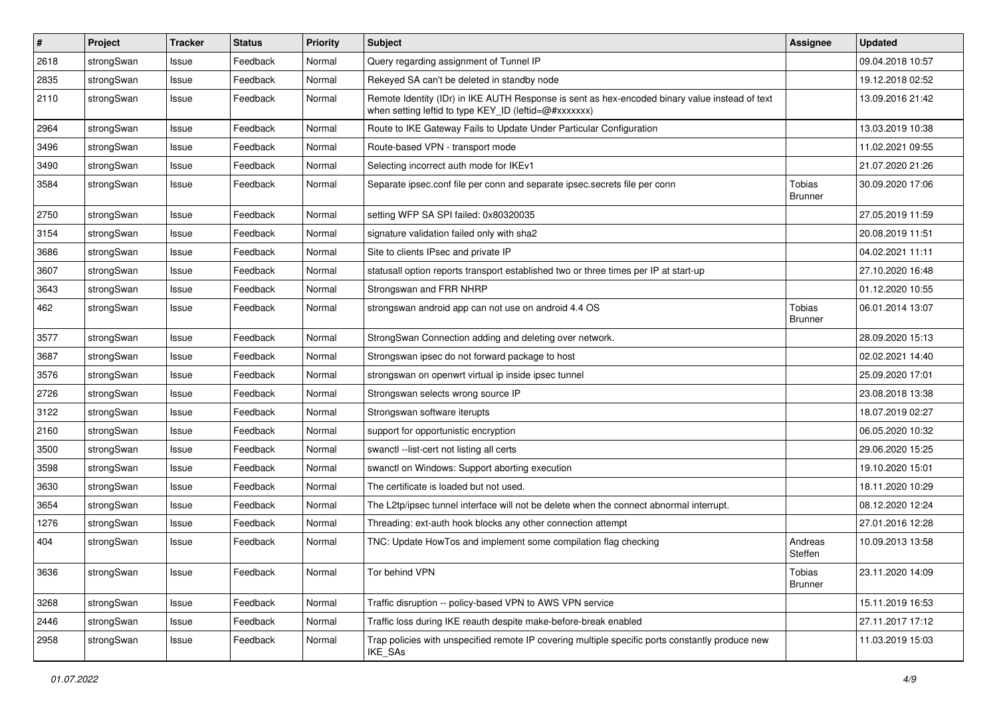| #    | Project    | <b>Tracker</b> | <b>Status</b> | <b>Priority</b> | <b>Subject</b>                                                                                                                                          | <b>Assignee</b>          | <b>Updated</b>   |
|------|------------|----------------|---------------|-----------------|---------------------------------------------------------------------------------------------------------------------------------------------------------|--------------------------|------------------|
| 2618 | strongSwan | Issue          | Feedback      | Normal          | Query regarding assignment of Tunnel IP                                                                                                                 |                          | 09.04.2018 10:57 |
| 2835 | strongSwan | Issue          | Feedback      | Normal          | Rekeyed SA can't be deleted in standby node                                                                                                             |                          | 19.12.2018 02:52 |
| 2110 | strongSwan | Issue          | Feedback      | Normal          | Remote Identity (IDr) in IKE AUTH Response is sent as hex-encoded binary value instead of text<br>when setting leftid to type KEY_ID (leftid=@#xxxxxxx) |                          | 13.09.2016 21:42 |
| 2964 | strongSwan | Issue          | Feedback      | Normal          | Route to IKE Gateway Fails to Update Under Particular Configuration                                                                                     |                          | 13.03.2019 10:38 |
| 3496 | strongSwan | Issue          | Feedback      | Normal          | Route-based VPN - transport mode                                                                                                                        |                          | 11.02.2021 09:55 |
| 3490 | strongSwan | Issue          | Feedback      | Normal          | Selecting incorrect auth mode for IKEv1                                                                                                                 |                          | 21.07.2020 21:26 |
| 3584 | strongSwan | Issue          | Feedback      | Normal          | Separate ipsec.conf file per conn and separate ipsec.secrets file per conn                                                                              | Tobias<br><b>Brunner</b> | 30.09.2020 17:06 |
| 2750 | strongSwan | Issue          | Feedback      | Normal          | setting WFP SA SPI failed: 0x80320035                                                                                                                   |                          | 27.05.2019 11:59 |
| 3154 | strongSwan | Issue          | Feedback      | Normal          | signature validation failed only with sha2                                                                                                              |                          | 20.08.2019 11:51 |
| 3686 | strongSwan | Issue          | Feedback      | Normal          | Site to clients IPsec and private IP                                                                                                                    |                          | 04.02.2021 11:11 |
| 3607 | strongSwan | Issue          | Feedback      | Normal          | statusall option reports transport established two or three times per IP at start-up                                                                    |                          | 27.10.2020 16:48 |
| 3643 | strongSwan | Issue          | Feedback      | Normal          | Strongswan and FRR NHRP                                                                                                                                 |                          | 01.12.2020 10:55 |
| 462  | strongSwan | Issue          | Feedback      | Normal          | strongswan android app can not use on android 4.4 OS                                                                                                    | Tobias<br><b>Brunner</b> | 06.01.2014 13:07 |
| 3577 | strongSwan | Issue          | Feedback      | Normal          | StrongSwan Connection adding and deleting over network.                                                                                                 |                          | 28.09.2020 15:13 |
| 3687 | strongSwan | Issue          | Feedback      | Normal          | Strongswan ipsec do not forward package to host                                                                                                         |                          | 02.02.2021 14:40 |
| 3576 | strongSwan | Issue          | Feedback      | Normal          | strongswan on openwrt virtual ip inside ipsec tunnel                                                                                                    |                          | 25.09.2020 17:01 |
| 2726 | strongSwan | Issue          | Feedback      | Normal          | Strongswan selects wrong source IP                                                                                                                      |                          | 23.08.2018 13:38 |
| 3122 | strongSwan | Issue          | Feedback      | Normal          | Strongswan software iterupts                                                                                                                            |                          | 18.07.2019 02:27 |
| 2160 | strongSwan | Issue          | Feedback      | Normal          | support for opportunistic encryption                                                                                                                    |                          | 06.05.2020 10:32 |
| 3500 | strongSwan | Issue          | Feedback      | Normal          | swanctl --list-cert not listing all certs                                                                                                               |                          | 29.06.2020 15:25 |
| 3598 | strongSwan | Issue          | Feedback      | Normal          | swanctl on Windows: Support aborting execution                                                                                                          |                          | 19.10.2020 15:01 |
| 3630 | strongSwan | Issue          | Feedback      | Normal          | The certificate is loaded but not used.                                                                                                                 |                          | 18.11.2020 10:29 |
| 3654 | strongSwan | Issue          | Feedback      | Normal          | The L2tp/ipsec tunnel interface will not be delete when the connect abnormal interrupt.                                                                 |                          | 08.12.2020 12:24 |
| 1276 | strongSwan | Issue          | Feedback      | Normal          | Threading: ext-auth hook blocks any other connection attempt                                                                                            |                          | 27.01.2016 12:28 |
| 404  | strongSwan | Issue          | Feedback      | Normal          | TNC: Update HowTos and implement some compilation flag checking                                                                                         | Andreas<br>Steffen       | 10.09.2013 13:58 |
| 3636 | strongSwan | Issue          | Feedback      | Normal          | Tor behind VPN                                                                                                                                          | Tobias<br><b>Brunner</b> | 23.11.2020 14:09 |
| 3268 | strongSwan | Issue          | Feedback      | Normal          | Traffic disruption -- policy-based VPN to AWS VPN service                                                                                               |                          | 15.11.2019 16:53 |
| 2446 | strongSwan | Issue          | Feedback      | Normal          | Traffic loss during IKE reauth despite make-before-break enabled                                                                                        |                          | 27.11.2017 17:12 |
| 2958 | strongSwan | Issue          | Feedback      | Normal          | Trap policies with unspecified remote IP covering multiple specific ports constantly produce new<br>IKE_SAs                                             |                          | 11.03.2019 15:03 |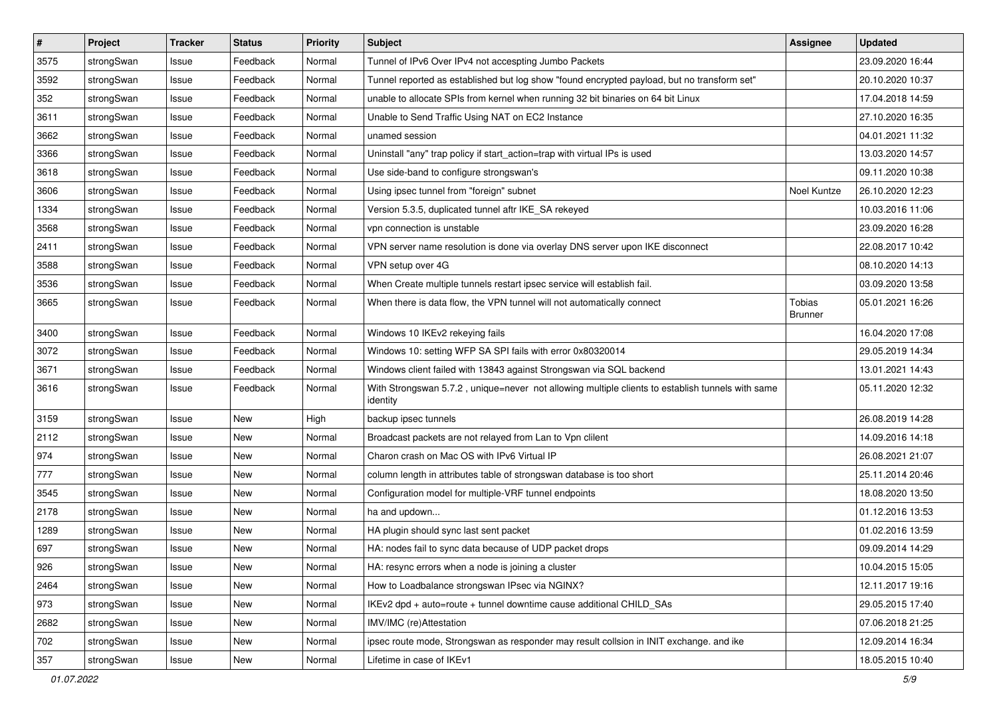| $\sharp$ | Project    | <b>Tracker</b> | <b>Status</b> | <b>Priority</b> | <b>Subject</b>                                                                                               | Assignee                 | <b>Updated</b>   |
|----------|------------|----------------|---------------|-----------------|--------------------------------------------------------------------------------------------------------------|--------------------------|------------------|
| 3575     | strongSwan | Issue          | Feedback      | Normal          | Tunnel of IPv6 Over IPv4 not accespting Jumbo Packets                                                        |                          | 23.09.2020 16:44 |
| 3592     | strongSwan | Issue          | Feedback      | Normal          | Tunnel reported as established but log show "found encrypted payload, but no transform set"                  |                          | 20.10.2020 10:37 |
| 352      | strongSwan | Issue          | Feedback      | Normal          | unable to allocate SPIs from kernel when running 32 bit binaries on 64 bit Linux                             |                          | 17.04.2018 14:59 |
| 3611     | strongSwan | Issue          | Feedback      | Normal          | Unable to Send Traffic Using NAT on EC2 Instance                                                             |                          | 27.10.2020 16:35 |
| 3662     | strongSwan | Issue          | Feedback      | Normal          | unamed session                                                                                               |                          | 04.01.2021 11:32 |
| 3366     | strongSwan | Issue          | Feedback      | Normal          | Uninstall "any" trap policy if start_action=trap with virtual IPs is used                                    |                          | 13.03.2020 14:57 |
| 3618     | strongSwan | Issue          | Feedback      | Normal          | Use side-band to configure strongswan's                                                                      |                          | 09.11.2020 10:38 |
| 3606     | strongSwan | Issue          | Feedback      | Normal          | Using ipsec tunnel from "foreign" subnet                                                                     | Noel Kuntze              | 26.10.2020 12:23 |
| 1334     | strongSwan | Issue          | Feedback      | Normal          | Version 5.3.5, duplicated tunnel aftr IKE_SA rekeyed                                                         |                          | 10.03.2016 11:06 |
| 3568     | strongSwan | Issue          | Feedback      | Normal          | vpn connection is unstable                                                                                   |                          | 23.09.2020 16:28 |
| 2411     | strongSwan | Issue          | Feedback      | Normal          | VPN server name resolution is done via overlay DNS server upon IKE disconnect                                |                          | 22.08.2017 10:42 |
| 3588     | strongSwan | Issue          | Feedback      | Normal          | VPN setup over 4G                                                                                            |                          | 08.10.2020 14:13 |
| 3536     | strongSwan | Issue          | Feedback      | Normal          | When Create multiple tunnels restart ipsec service will establish fail.                                      |                          | 03.09.2020 13:58 |
| 3665     | strongSwan | Issue          | Feedback      | Normal          | When there is data flow, the VPN tunnel will not automatically connect                                       | Tobias<br><b>Brunner</b> | 05.01.2021 16:26 |
| 3400     | strongSwan | Issue          | Feedback      | Normal          | Windows 10 IKEv2 rekeying fails                                                                              |                          | 16.04.2020 17:08 |
| 3072     | strongSwan | Issue          | Feedback      | Normal          | Windows 10: setting WFP SA SPI fails with error 0x80320014                                                   |                          | 29.05.2019 14:34 |
| 3671     | strongSwan | Issue          | Feedback      | Normal          | Windows client failed with 13843 against Strongswan via SQL backend                                          |                          | 13.01.2021 14:43 |
| 3616     | strongSwan | Issue          | Feedback      | Normal          | With Strongswan 5.7.2, unique=never not allowing multiple clients to establish tunnels with same<br>identity |                          | 05.11.2020 12:32 |
| 3159     | strongSwan | Issue          | New           | High            | backup ipsec tunnels                                                                                         |                          | 26.08.2019 14:28 |
| 2112     | strongSwan | Issue          | New           | Normal          | Broadcast packets are not relayed from Lan to Vpn clilent                                                    |                          | 14.09.2016 14:18 |
| 974      | strongSwan | Issue          | <b>New</b>    | Normal          | Charon crash on Mac OS with IPv6 Virtual IP                                                                  |                          | 26.08.2021 21:07 |
| 777      | strongSwan | Issue          | New           | Normal          | column length in attributes table of strongswan database is too short                                        |                          | 25.11.2014 20:46 |
| 3545     | strongSwan | Issue          | <b>New</b>    | Normal          | Configuration model for multiple-VRF tunnel endpoints                                                        |                          | 18.08.2020 13:50 |
| 2178     | strongSwan | Issue          | New           | Normal          | ha and updown                                                                                                |                          | 01.12.2016 13:53 |
| 1289     | strongSwan | Issue          | New           | Normal          | HA plugin should sync last sent packet                                                                       |                          | 01.02.2016 13:59 |
| 697      | strongSwan | Issue          | New           | Normal          | HA: nodes fail to sync data because of UDP packet drops                                                      |                          | 09.09.2014 14:29 |
| 926      | strongSwan | Issue          | New           | Normal          | HA: resync errors when a node is joining a cluster                                                           |                          | 10.04.2015 15:05 |
| 2464     | strongSwan | Issue          | New           | Normal          | How to Loadbalance strongswan IPsec via NGINX?                                                               |                          | 12.11.2017 19:16 |
| 973      | strongSwan | Issue          | New           | Normal          | IKEv2 dpd + auto=route + tunnel downtime cause additional CHILD SAs                                          |                          | 29.05.2015 17:40 |
| 2682     | strongSwan | Issue          | New           | Normal          | IMV/IMC (re)Attestation                                                                                      |                          | 07.06.2018 21:25 |
| 702      | strongSwan | Issue          | New           | Normal          | ipsec route mode, Strongswan as responder may result collsion in INIT exchange. and ike                      |                          | 12.09.2014 16:34 |
| 357      | strongSwan | Issue          | New           | Normal          | Lifetime in case of IKEv1                                                                                    |                          | 18.05.2015 10:40 |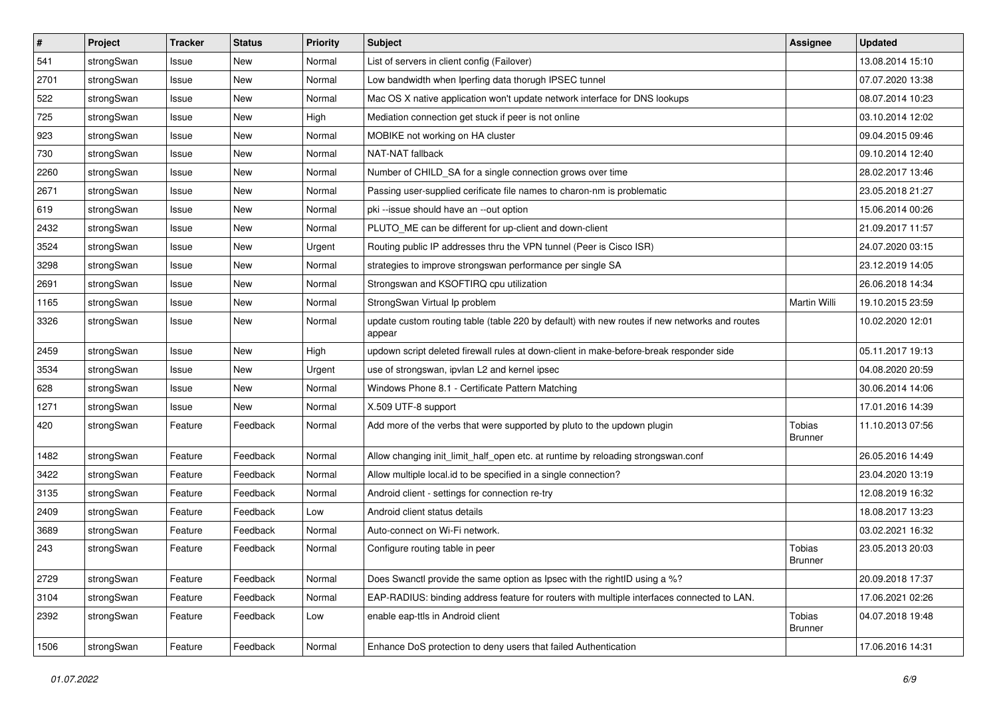| $\sharp$ | Project    | <b>Tracker</b> | <b>Status</b> | <b>Priority</b> | <b>Subject</b>                                                                                          | <b>Assignee</b>          | <b>Updated</b>   |
|----------|------------|----------------|---------------|-----------------|---------------------------------------------------------------------------------------------------------|--------------------------|------------------|
| 541      | strongSwan | Issue          | New           | Normal          | List of servers in client config (Failover)                                                             |                          | 13.08.2014 15:10 |
| 2701     | strongSwan | Issue          | <b>New</b>    | Normal          | Low bandwidth when Iperfing data thorugh IPSEC tunnel                                                   |                          | 07.07.2020 13:38 |
| 522      | strongSwan | Issue          | <b>New</b>    | Normal          | Mac OS X native application won't update network interface for DNS lookups                              |                          | 08.07.2014 10:23 |
| 725      | strongSwan | Issue          | New           | High            | Mediation connection get stuck if peer is not online                                                    |                          | 03.10.2014 12:02 |
| 923      | strongSwan | Issue          | <b>New</b>    | Normal          | MOBIKE not working on HA cluster                                                                        |                          | 09.04.2015 09:46 |
| 730      | strongSwan | Issue          | New           | Normal          | NAT-NAT fallback                                                                                        |                          | 09.10.2014 12:40 |
| 2260     | strongSwan | Issue          | <b>New</b>    | Normal          | Number of CHILD_SA for a single connection grows over time                                              |                          | 28.02.2017 13:46 |
| 2671     | strongSwan | Issue          | New           | Normal          | Passing user-supplied cerificate file names to charon-nm is problematic                                 |                          | 23.05.2018 21:27 |
| 619      | strongSwan | Issue          | New           | Normal          | pki --issue should have an --out option                                                                 |                          | 15.06.2014 00:26 |
| 2432     | strongSwan | Issue          | <b>New</b>    | Normal          | PLUTO_ME can be different for up-client and down-client                                                 |                          | 21.09.2017 11:57 |
| 3524     | strongSwan | Issue          | New           | Urgent          | Routing public IP addresses thru the VPN tunnel (Peer is Cisco ISR)                                     |                          | 24.07.2020 03:15 |
| 3298     | strongSwan | Issue          | <b>New</b>    | Normal          | strategies to improve strongswan performance per single SA                                              |                          | 23.12.2019 14:05 |
| 2691     | strongSwan | Issue          | New           | Normal          | Strongswan and KSOFTIRQ cpu utilization                                                                 |                          | 26.06.2018 14:34 |
| 1165     | strongSwan | Issue          | <b>New</b>    | Normal          | StrongSwan Virtual Ip problem                                                                           | Martin Willi             | 19.10.2015 23:59 |
| 3326     | strongSwan | Issue          | New           | Normal          | update custom routing table (table 220 by default) with new routes if new networks and routes<br>appear |                          | 10.02.2020 12:01 |
| 2459     | strongSwan | Issue          | New           | High            | updown script deleted firewall rules at down-client in make-before-break responder side                 |                          | 05.11.2017 19:13 |
| 3534     | strongSwan | Issue          | <b>New</b>    | Urgent          | use of strongswan, ipvlan L2 and kernel ipsec                                                           |                          | 04.08.2020 20:59 |
| 628      | strongSwan | Issue          | New           | Normal          | Windows Phone 8.1 - Certificate Pattern Matching                                                        |                          | 30.06.2014 14:06 |
| 1271     | strongSwan | Issue          | <b>New</b>    | Normal          | X.509 UTF-8 support                                                                                     |                          | 17.01.2016 14:39 |
| 420      | strongSwan | Feature        | Feedback      | Normal          | Add more of the verbs that were supported by pluto to the updown plugin                                 | Tobias<br>Brunner        | 11.10.2013 07:56 |
| 1482     | strongSwan | Feature        | Feedback      | Normal          | Allow changing init_limit_half_open etc. at runtime by reloading strongswan.conf                        |                          | 26.05.2016 14:49 |
| 3422     | strongSwan | Feature        | Feedback      | Normal          | Allow multiple local.id to be specified in a single connection?                                         |                          | 23.04.2020 13:19 |
| 3135     | strongSwan | Feature        | Feedback      | Normal          | Android client - settings for connection re-try                                                         |                          | 12.08.2019 16:32 |
| 2409     | strongSwan | Feature        | Feedback      | Low             | Android client status details                                                                           |                          | 18.08.2017 13:23 |
| 3689     | strongSwan | Feature        | Feedback      | Normal          | Auto-connect on Wi-Fi network.                                                                          |                          | 03.02.2021 16:32 |
| 243      | strongSwan | Feature        | Feedback      | Normal          | Configure routing table in peer                                                                         | Tobias<br>Brunner        | 23.05.2013 20:03 |
| 2729     | strongSwan | Feature        | Feedback      | Normal          | Does Swanctl provide the same option as Ipsec with the rightID using a %?                               |                          | 20.09.2018 17:37 |
| 3104     | strongSwan | Feature        | Feedback      | Normal          | EAP-RADIUS: binding address feature for routers with multiple interfaces connected to LAN.              |                          | 17.06.2021 02:26 |
| 2392     | strongSwan | Feature        | Feedback      | Low             | enable eap-ttls in Android client                                                                       | Tobias<br><b>Brunner</b> | 04.07.2018 19:48 |
| 1506     | strongSwan | Feature        | Feedback      | Normal          | Enhance DoS protection to deny users that failed Authentication                                         |                          | 17.06.2016 14:31 |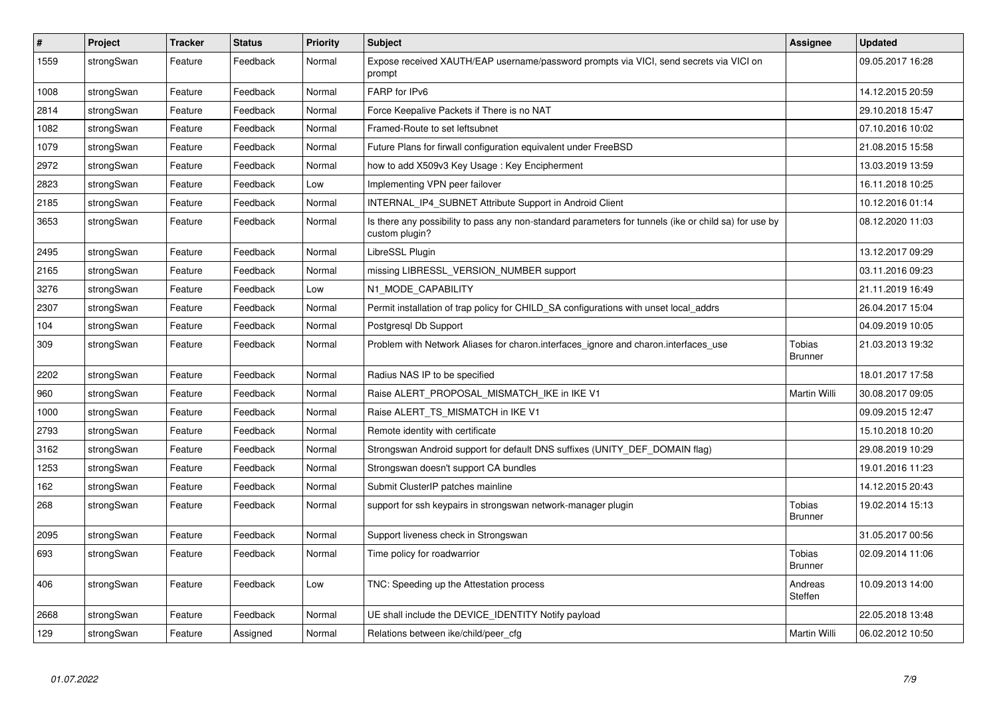| $\pmb{\#}$ | Project    | <b>Tracker</b> | <b>Status</b> | <b>Priority</b> | <b>Subject</b>                                                                                                          | <b>Assignee</b>                 | <b>Updated</b>   |
|------------|------------|----------------|---------------|-----------------|-------------------------------------------------------------------------------------------------------------------------|---------------------------------|------------------|
| 1559       | strongSwan | Feature        | Feedback      | Normal          | Expose received XAUTH/EAP username/password prompts via VICI, send secrets via VICI on<br>prompt                        |                                 | 09.05.2017 16:28 |
| 1008       | strongSwan | Feature        | Feedback      | Normal          | FARP for IPv6                                                                                                           |                                 | 14.12.2015 20:59 |
| 2814       | strongSwan | Feature        | Feedback      | Normal          | Force Keepalive Packets if There is no NAT                                                                              |                                 | 29.10.2018 15:47 |
| 1082       | strongSwan | Feature        | Feedback      | Normal          | Framed-Route to set leftsubnet                                                                                          |                                 | 07.10.2016 10:02 |
| 1079       | strongSwan | Feature        | Feedback      | Normal          | Future Plans for firwall configuration equivalent under FreeBSD                                                         |                                 | 21.08.2015 15:58 |
| 2972       | strongSwan | Feature        | Feedback      | Normal          | how to add X509v3 Key Usage : Key Encipherment                                                                          |                                 | 13.03.2019 13:59 |
| 2823       | strongSwan | Feature        | Feedback      | Low             | Implementing VPN peer failover                                                                                          |                                 | 16.11.2018 10:25 |
| 2185       | strongSwan | Feature        | Feedback      | Normal          | INTERNAL_IP4_SUBNET Attribute Support in Android Client                                                                 |                                 | 10.12.2016 01:14 |
| 3653       | strongSwan | Feature        | Feedback      | Normal          | Is there any possibility to pass any non-standard parameters for tunnels (ike or child sa) for use by<br>custom plugin? |                                 | 08.12.2020 11:03 |
| 2495       | strongSwan | Feature        | Feedback      | Normal          | LibreSSL Plugin                                                                                                         |                                 | 13.12.2017 09:29 |
| 2165       | strongSwan | Feature        | Feedback      | Normal          | missing LIBRESSL VERSION NUMBER support                                                                                 |                                 | 03.11.2016 09:23 |
| 3276       | strongSwan | Feature        | Feedback      | Low             | N1_MODE_CAPABILITY                                                                                                      |                                 | 21.11.2019 16:49 |
| 2307       | strongSwan | Feature        | Feedback      | Normal          | Permit installation of trap policy for CHILD SA configurations with unset local addrs                                   |                                 | 26.04.2017 15:04 |
| 104        | strongSwan | Feature        | Feedback      | Normal          | Postgresql Db Support                                                                                                   |                                 | 04.09.2019 10:05 |
| 309        | strongSwan | Feature        | Feedback      | Normal          | Problem with Network Aliases for charon. interfaces ignore and charon. interfaces use                                   | Tobias<br><b>Brunner</b>        | 21.03.2013 19:32 |
| 2202       | strongSwan | Feature        | Feedback      | Normal          | Radius NAS IP to be specified                                                                                           |                                 | 18.01.2017 17:58 |
| 960        | strongSwan | Feature        | Feedback      | Normal          | Raise ALERT_PROPOSAL_MISMATCH_IKE in IKE V1                                                                             | Martin Willi                    | 30.08.2017 09:05 |
| 1000       | strongSwan | Feature        | Feedback      | Normal          | Raise ALERT TS MISMATCH in IKE V1                                                                                       |                                 | 09.09.2015 12:47 |
| 2793       | strongSwan | Feature        | Feedback      | Normal          | Remote identity with certificate                                                                                        |                                 | 15.10.2018 10:20 |
| 3162       | strongSwan | Feature        | Feedback      | Normal          | Strongswan Android support for default DNS suffixes (UNITY_DEF_DOMAIN flag)                                             |                                 | 29.08.2019 10:29 |
| 1253       | strongSwan | Feature        | Feedback      | Normal          | Strongswan doesn't support CA bundles                                                                                   |                                 | 19.01.2016 11:23 |
| 162        | strongSwan | Feature        | Feedback      | Normal          | Submit ClusterIP patches mainline                                                                                       |                                 | 14.12.2015 20:43 |
| 268        | strongSwan | Feature        | Feedback      | Normal          | support for ssh keypairs in strongswan network-manager plugin                                                           | Tobias<br><b>Brunner</b>        | 19.02.2014 15:13 |
| 2095       | strongSwan | Feature        | Feedback      | Normal          | Support liveness check in Strongswan                                                                                    |                                 | 31.05.2017 00:56 |
| 693        | strongSwan | Feature        | Feedback      | Normal          | Time policy for roadwarrior                                                                                             | <b>Tobias</b><br><b>Brunner</b> | 02.09.2014 11:06 |
| 406        | strongSwan | Feature        | Feedback      | Low             | TNC: Speeding up the Attestation process                                                                                | Andreas<br>Steffen              | 10.09.2013 14:00 |
| 2668       | strongSwan | Feature        | Feedback      | Normal          | UE shall include the DEVICE_IDENTITY Notify payload                                                                     |                                 | 22.05.2018 13:48 |
| 129        | strongSwan | Feature        | Assigned      | Normal          | Relations between ike/child/peer_cfg                                                                                    | Martin Willi                    | 06.02.2012 10:50 |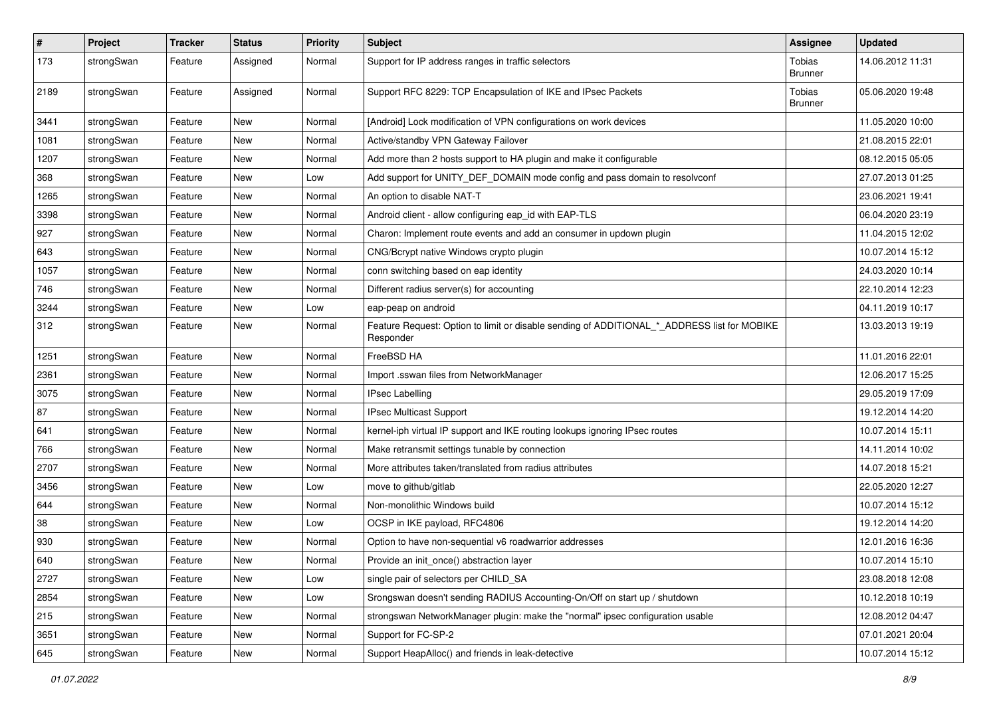| $\#$ | Project    | <b>Tracker</b> | <b>Status</b> | <b>Priority</b> | <b>Subject</b>                                                                                           | Assignee                 | <b>Updated</b>   |
|------|------------|----------------|---------------|-----------------|----------------------------------------------------------------------------------------------------------|--------------------------|------------------|
| 173  | strongSwan | Feature        | Assigned      | Normal          | Support for IP address ranges in traffic selectors                                                       | Tobias<br><b>Brunner</b> | 14.06.2012 11:31 |
| 2189 | strongSwan | Feature        | Assigned      | Normal          | Support RFC 8229: TCP Encapsulation of IKE and IPsec Packets                                             | Tobias<br><b>Brunner</b> | 05.06.2020 19:48 |
| 3441 | strongSwan | Feature        | <b>New</b>    | Normal          | [Android] Lock modification of VPN configurations on work devices                                        |                          | 11.05.2020 10:00 |
| 1081 | strongSwan | Feature        | New           | Normal          | Active/standby VPN Gateway Failover                                                                      |                          | 21.08.2015 22:01 |
| 1207 | strongSwan | Feature        | New           | Normal          | Add more than 2 hosts support to HA plugin and make it configurable                                      |                          | 08.12.2015 05:05 |
| 368  | strongSwan | Feature        | New           | Low             | Add support for UNITY_DEF_DOMAIN mode config and pass domain to resolvconf                               |                          | 27.07.2013 01:25 |
| 1265 | strongSwan | Feature        | New           | Normal          | An option to disable NAT-T                                                                               |                          | 23.06.2021 19:41 |
| 3398 | strongSwan | Feature        | New           | Normal          | Android client - allow configuring eap_id with EAP-TLS                                                   |                          | 06.04.2020 23:19 |
| 927  | strongSwan | Feature        | New           | Normal          | Charon: Implement route events and add an consumer in updown plugin                                      |                          | 11.04.2015 12:02 |
| 643  | strongSwan | Feature        | New           | Normal          | CNG/Bcrypt native Windows crypto plugin                                                                  |                          | 10.07.2014 15:12 |
| 1057 | strongSwan | Feature        | New           | Normal          | conn switching based on eap identity                                                                     |                          | 24.03.2020 10:14 |
| 746  | strongSwan | Feature        | New           | Normal          | Different radius server(s) for accounting                                                                |                          | 22.10.2014 12:23 |
| 3244 | strongSwan | Feature        | New           | Low             | eap-peap on android                                                                                      |                          | 04.11.2019 10:17 |
| 312  | strongSwan | Feature        | New           | Normal          | Feature Request: Option to limit or disable sending of ADDITIONAL_*_ADDRESS list for MOBIKE<br>Responder |                          | 13.03.2013 19:19 |
| 1251 | strongSwan | Feature        | New           | Normal          | FreeBSD HA                                                                                               |                          | 11.01.2016 22:01 |
| 2361 | strongSwan | Feature        | New           | Normal          | Import .sswan files from NetworkManager                                                                  |                          | 12.06.2017 15:25 |
| 3075 | strongSwan | Feature        | New           | Normal          | <b>IPsec Labelling</b>                                                                                   |                          | 29.05.2019 17:09 |
| 87   | strongSwan | Feature        | New           | Normal          | IPsec Multicast Support                                                                                  |                          | 19.12.2014 14:20 |
| 641  | strongSwan | Feature        | New           | Normal          | kernel-iph virtual IP support and IKE routing lookups ignoring IPsec routes                              |                          | 10.07.2014 15:11 |
| 766  | strongSwan | Feature        | New           | Normal          | Make retransmit settings tunable by connection                                                           |                          | 14.11.2014 10:02 |
| 2707 | strongSwan | Feature        | New           | Normal          | More attributes taken/translated from radius attributes                                                  |                          | 14.07.2018 15:21 |
| 3456 | strongSwan | Feature        | New           | Low             | move to github/gitlab                                                                                    |                          | 22.05.2020 12:27 |
| 644  | strongSwan | Feature        | New           | Normal          | Non-monolithic Windows build                                                                             |                          | 10.07.2014 15:12 |
| 38   | strongSwan | Feature        | New           | Low             | OCSP in IKE payload, RFC4806                                                                             |                          | 19.12.2014 14:20 |
| 930  | strongSwan | Feature        | New           | Normal          | Option to have non-sequential v6 roadwarrior addresses                                                   |                          | 12.01.2016 16:36 |
| 640  | strongSwan | Feature        | New           | Normal          | Provide an init once() abstraction layer                                                                 |                          | 10.07.2014 15:10 |
| 2727 | strongSwan | Feature        | New           | Low             | single pair of selectors per CHILD_SA                                                                    |                          | 23.08.2018 12:08 |
| 2854 | strongSwan | Feature        | New           | Low             | Srongswan doesn't sending RADIUS Accounting-On/Off on start up / shutdown                                |                          | 10.12.2018 10:19 |
| 215  | strongSwan | Feature        | New           | Normal          | strongswan NetworkManager plugin: make the "normal" ipsec configuration usable                           |                          | 12.08.2012 04:47 |
| 3651 | strongSwan | Feature        | New           | Normal          | Support for FC-SP-2                                                                                      |                          | 07.01.2021 20:04 |
| 645  | strongSwan | Feature        | New           | Normal          | Support HeapAlloc() and friends in leak-detective                                                        |                          | 10.07.2014 15:12 |